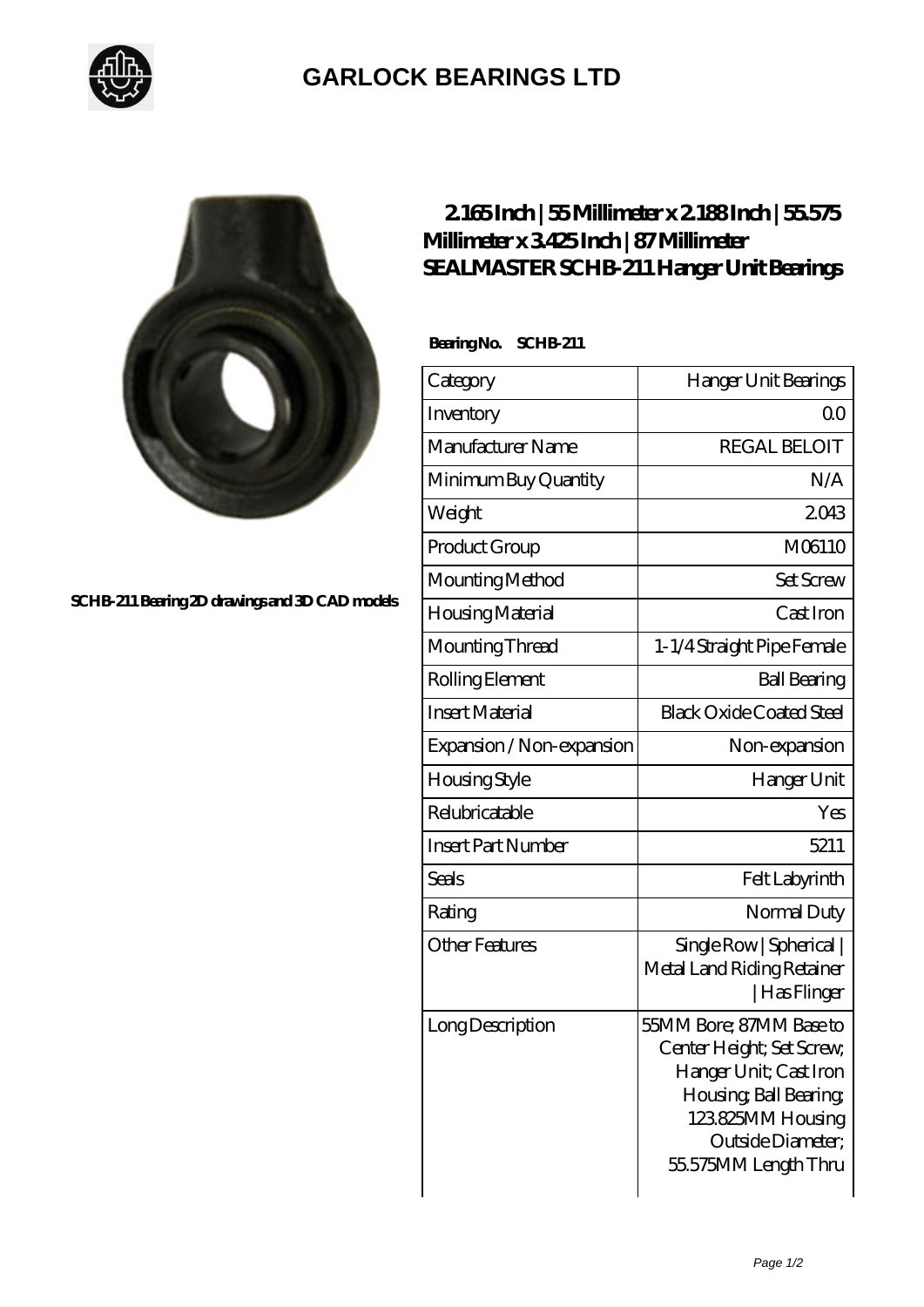

## **[GARLOCK BEARINGS LTD](https://m.letterstopriests.com)**



**[SCHB-211 Bearing 2D drawings and 3D CAD models](https://m.letterstopriests.com/pic-189220.html)**

## **[2.165 Inch | 55 Millimeter x 2.188 Inch | 55.575](https://m.letterstopriests.com/bz-189220-sealmaster-schb-211-hanger-unit-bearings.html) [Millimeter x 3.425 Inch | 87 Millimeter](https://m.letterstopriests.com/bz-189220-sealmaster-schb-211-hanger-unit-bearings.html) [SEALMASTER SCHB-211 Hanger Unit Bearings](https://m.letterstopriests.com/bz-189220-sealmaster-schb-211-hanger-unit-bearings.html)**

 **Bearing No. SCHB-211**

| Category                  | Hanger Unit Bearings                                                                                                                                                     |
|---------------------------|--------------------------------------------------------------------------------------------------------------------------------------------------------------------------|
| Inventory                 | Q0                                                                                                                                                                       |
| Manufacturer Name         | <b>REGAL BELOIT</b>                                                                                                                                                      |
| Minimum Buy Quantity      | N/A                                                                                                                                                                      |
| Weight                    | 2043                                                                                                                                                                     |
| Product Group             | M06110                                                                                                                                                                   |
| Mounting Method           | <b>Set Screw</b>                                                                                                                                                         |
| Housing Material          | Cast Iron                                                                                                                                                                |
| Mounting Thread           | 1-1/4 Straight Pipe Female                                                                                                                                               |
| Rolling Element           | <b>Ball Bearing</b>                                                                                                                                                      |
| <b>Insert Material</b>    | <b>Black Oxide Coated Steel</b>                                                                                                                                          |
| Expansion / Non-expansion | Non-expansion                                                                                                                                                            |
| Housing Style             | Hanger Unit                                                                                                                                                              |
| Relubricatable            | Yes                                                                                                                                                                      |
| <b>Insert Part Number</b> | 5211                                                                                                                                                                     |
| Seals                     | Felt Labyrinth                                                                                                                                                           |
| Rating                    | Normal Duty                                                                                                                                                              |
| <b>Other Features</b>     | Single Row   Spherical  <br>Metal Land Riding Retainer<br>  Has Flinger                                                                                                  |
| Long Description          | 55MM Bore; 87MM Base to<br>Center Height; Set Screw,<br>Hanger Unit; Cast Iron<br>Housing, Ball Bearing,<br>123825MM Housing<br>Outside Diameter;<br>55575MM Length Thru |